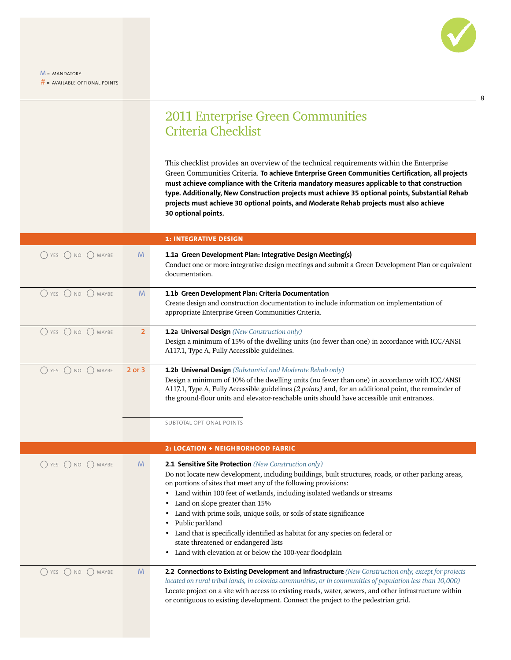8

## 2011 Enterprise Green Communities Criteria Checklist

This checklist provides an overview of the technical requirements within the Enterprise Green Communities Criteria. **To achieve Enterprise Green Communities Certification, all projects must achieve compliance with the Criteria mandatory measures applicable to that construction type. Additionally, New Construction projects must achieve 35 optional points, Substantial Rehab projects must achieve 30 optional points, and Moderate Rehab projects must also achieve 30 optional points.**

|                                               |                | <b>1: INTEGRATIVE DESIGN</b>                                                                                                                                                                                                                                                                                                                                                                                                                                                                                                                                                                                                            |
|-----------------------------------------------|----------------|-----------------------------------------------------------------------------------------------------------------------------------------------------------------------------------------------------------------------------------------------------------------------------------------------------------------------------------------------------------------------------------------------------------------------------------------------------------------------------------------------------------------------------------------------------------------------------------------------------------------------------------------|
| O YES O NO O MAYBE                            | M              | 1.1a Green Development Plan: Integrative Design Meeting(s)<br>Conduct one or more integrative design meetings and submit a Green Development Plan or equivalent<br>documentation.                                                                                                                                                                                                                                                                                                                                                                                                                                                       |
| $\bigcirc$ YES $\bigcirc$ NO $\bigcirc$ MAYBE | M              | 1.1b Green Development Plan: Criteria Documentation<br>Create design and construction documentation to include information on implementation of<br>appropriate Enterprise Green Communities Criteria.                                                                                                                                                                                                                                                                                                                                                                                                                                   |
| O YES O NO O MAYBE                            | $\overline{2}$ | 1.2a Universal Design (New Construction only)<br>Design a minimum of 15% of the dwelling units (no fewer than one) in accordance with ICC/ANSI<br>A117.1, Type A, Fully Accessible guidelines.                                                                                                                                                                                                                                                                                                                                                                                                                                          |
| O YES O NO O MAYBE                            | 2 or 3         | 1.2b Universal Design (Substantial and Moderate Rehab only)<br>Design a minimum of 10% of the dwelling units (no fewer than one) in accordance with ICC/ANSI<br>A117.1, Type A, Fully Accessible guidelines [2 points] and, for an additional point, the remainder of<br>the ground-floor units and elevator-reachable units should have accessible unit entrances.<br>SUBTOTAL OPTIONAL POINTS                                                                                                                                                                                                                                         |
|                                               |                | 2: LOCATION + NEIGHBORHOOD FABRIC                                                                                                                                                                                                                                                                                                                                                                                                                                                                                                                                                                                                       |
| $O$ YES $O$ NO $O$ MAYBE                      | M              | 2.1 Sensitive Site Protection (New Construction only)<br>Do not locate new development, including buildings, built structures, roads, or other parking areas,<br>on portions of sites that meet any of the following provisions:<br>• Land within 100 feet of wetlands, including isolated wetlands or streams<br>• Land on slope greater than 15%<br>Land with prime soils, unique soils, or soils of state significance<br>Public parkland<br>Land that is specifically identified as habitat for any species on federal or<br>٠<br>state threatened or endangered lists<br>• Land with elevation at or below the 100-year floodplain |
| O YES O NO O MAYBE                            | M              | 2.2 Connections to Existing Development and Infrastructure (New Construction only, except for projects<br>located on rural tribal lands, in colonias communities, or in communities of population less than 10,000)<br>Locate project on a site with access to existing roads, water, sewers, and other infrastructure within<br>or contiguous to existing development. Connect the project to the pedestrian grid.                                                                                                                                                                                                                     |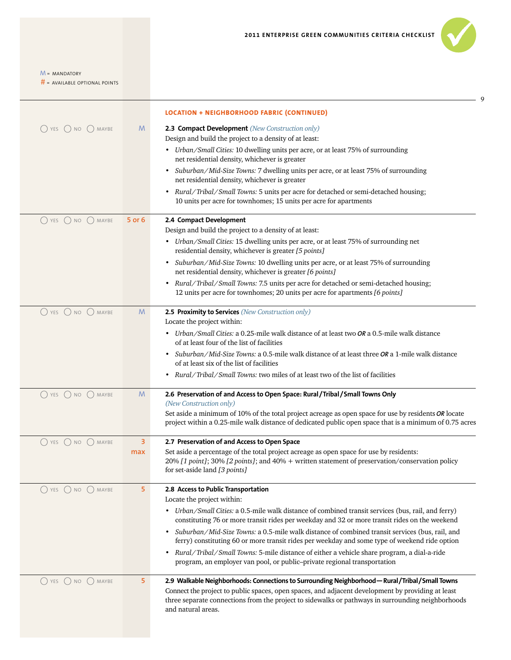9

 $M =$  MANDATORY

|                                               |        | <b>LOCATION + NEIGHBORHOOD FABRIC (CONTINUED)</b>                                                                                                                                                                                                                                                                              |
|-----------------------------------------------|--------|--------------------------------------------------------------------------------------------------------------------------------------------------------------------------------------------------------------------------------------------------------------------------------------------------------------------------------|
| $\bigcirc$ YES $\bigcirc$ NO $\bigcirc$ MAYBE | M      | 2.3 Compact Development (New Construction only)                                                                                                                                                                                                                                                                                |
|                                               |        | Design and build the project to a density of at least:                                                                                                                                                                                                                                                                         |
|                                               |        | • Urban/Small Cities: 10 dwelling units per acre, or at least 75% of surrounding<br>net residential density, whichever is greater                                                                                                                                                                                              |
|                                               |        | Suburban/Mid-Size Towns: 7 dwelling units per acre, or at least 75% of surrounding<br>٠<br>net residential density, whichever is greater                                                                                                                                                                                       |
|                                               |        | • Rural/Tribal/Small Towns: 5 units per acre for detached or semi-detached housing;<br>10 units per acre for townhomes; 15 units per acre for apartments                                                                                                                                                                       |
| YES O NO O MAYBE                              | 5 or 6 | 2.4 Compact Development                                                                                                                                                                                                                                                                                                        |
|                                               |        | Design and build the project to a density of at least:                                                                                                                                                                                                                                                                         |
|                                               |        | • Urban/Small Cities: 15 dwelling units per acre, or at least 75% of surrounding net<br>residential density, whichever is greater [5 points]                                                                                                                                                                                   |
|                                               |        | Suburban/Mid-Size Towns: 10 dwelling units per acre, or at least 75% of surrounding<br>٠<br>net residential density, whichever is greater [6 points]                                                                                                                                                                           |
|                                               |        | • Rural/Tribal/Small Towns: 7.5 units per acre for detached or semi-detached housing;<br>12 units per acre for townhomes; 20 units per acre for apartments [6 points]                                                                                                                                                          |
| $\bigcap$ YES $\bigcap$ NO $\bigcap$ MAYBE    | M      | 2.5 Proximity to Services (New Construction only)<br>Locate the project within:                                                                                                                                                                                                                                                |
|                                               |        | • Urban/Small Cities: a 0.25-mile walk distance of at least two OR a 0.5-mile walk distance<br>of at least four of the list of facilities                                                                                                                                                                                      |
|                                               |        | Suburban/Mid-Size Towns: a 0.5-mile walk distance of at least three OR a 1-mile walk distance<br>٠                                                                                                                                                                                                                             |
|                                               |        | of at least six of the list of facilities<br>Rural/Tribal/Small Towns: two miles of at least two of the list of facilities<br>٠                                                                                                                                                                                                |
| $\bigcap$ YES $\bigcap$ NO $\bigcap$ MAYBE    | M      | 2.6 Preservation of and Access to Open Space: Rural / Tribal / Small Towns Only                                                                                                                                                                                                                                                |
|                                               |        | (New Construction only)                                                                                                                                                                                                                                                                                                        |
|                                               |        | Set aside a minimum of 10% of the total project acreage as open space for use by residents OR locate<br>project within a 0.25-mile walk distance of dedicated public open space that is a minimum of 0.75 acres                                                                                                                |
| () YES () NO () MAYBE                         | 3      | 2.7 Preservation of and Access to Open Space                                                                                                                                                                                                                                                                                   |
|                                               | max    | Set aside a percentage of the total project acreage as open space for use by residents:<br>20% [1 point]; 30% [2 points]; and 40% + written statement of preservation/conservation policy<br>for set-aside land [3 points]                                                                                                     |
| $\bigcap$ YES $\bigcap$ NO $\bigcap$ MAYBE    | 5      | 2.8 Access to Public Transportation<br>Locate the project within:                                                                                                                                                                                                                                                              |
|                                               |        | Urban/Small Cities: a 0.5-mile walk distance of combined transit services (bus, rail, and ferry)<br>٠                                                                                                                                                                                                                          |
|                                               |        | constituting 76 or more transit rides per weekday and 32 or more transit rides on the weekend                                                                                                                                                                                                                                  |
|                                               |        | Suburban/Mid-Size Towns: a 0.5-mile walk distance of combined transit services (bus, rail, and<br>$\bullet$<br>ferry) constituting 60 or more transit rides per weekday and some type of weekend ride option                                                                                                                   |
|                                               |        | Rural/Tribal/Small Towns: 5-mile distance of either a vehicle share program, a dial-a-ride<br>٠<br>program, an employer van pool, or public-private regional transportation                                                                                                                                                    |
| O YES O NO O MAYBE                            | 5      | 2.9 Walkable Neighborhoods: Connections to Surrounding Neighborhood - Rural/Tribal/Small Towns<br>Connect the project to public spaces, open spaces, and adjacent development by providing at least<br>three separate connections from the project to sidewalks or pathways in surrounding neighborhoods<br>and natural areas. |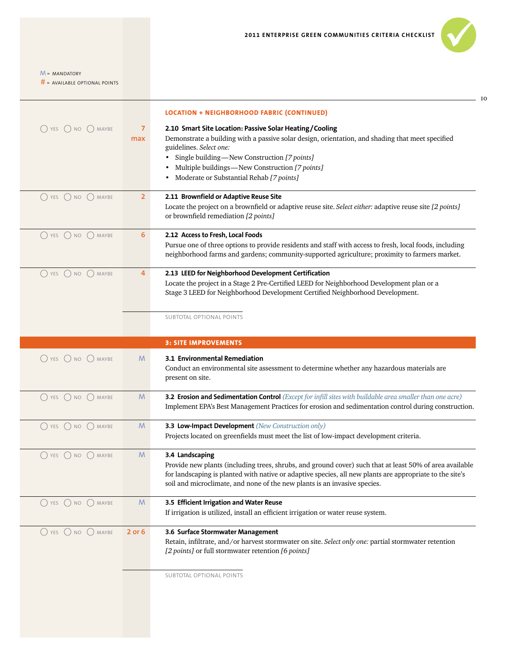|                                               |                | <b>LOCATION + NEIGHBORHOOD FABRIC (CONTINUED)</b>                                                         |
|-----------------------------------------------|----------------|-----------------------------------------------------------------------------------------------------------|
| $\bigcirc$ yes $\bigcirc$ no $\bigcirc$ maybe | $\overline{7}$ | 2.10 Smart Site Location: Passive Solar Heating/Cooling                                                   |
|                                               | max            | Demonstrate a building with a passive solar design, orientation, and shading that meet specified          |
|                                               |                | guidelines. Select one:                                                                                   |
|                                               |                | Single building-New Construction [7 points]                                                               |
|                                               |                | Multiple buildings-New Construction [7 points]                                                            |
|                                               |                | Moderate or Substantial Rehab [7 points]                                                                  |
| $\bigcap$ YES $\bigcap$ NO $\bigcap$ MAYBE    | $\overline{2}$ | 2.11 Brownfield or Adaptive Reuse Site                                                                    |
|                                               |                | Locate the project on a brownfield or adaptive reuse site. Select either: adaptive reuse site [2 points]  |
|                                               |                | or brownfield remediation [2 points]                                                                      |
| $\bigcirc$ yes $\bigcirc$ no $\bigcirc$ maybe | 6              | 2.12 Access to Fresh, Local Foods                                                                         |
|                                               |                | Pursue one of three options to provide residents and staff with access to fresh, local foods, including   |
|                                               |                | neighborhood farms and gardens; community-supported agriculture; proximity to farmers market.             |
| O YES O NO O MAYBE                            | 4              | 2.13 LEED for Neighborhood Development Certification                                                      |
|                                               |                | Locate the project in a Stage 2 Pre-Certified LEED for Neighborhood Development plan or a                 |
|                                               |                | Stage 3 LEED for Neighborhood Development Certified Neighborhood Development.                             |
|                                               |                | SUBTOTAL OPTIONAL POINTS                                                                                  |
|                                               |                |                                                                                                           |
|                                               |                | <b>3: SITE IMPROVEMENTS</b>                                                                               |
| O YES O NO O MAYBE                            | M              | 3.1 Environmental Remediation                                                                             |
|                                               |                | Conduct an environmental site assessment to determine whether any hazardous materials are                 |
|                                               |                | present on site.                                                                                          |
| $\bigcap$ YES $\bigcap$ NO $\bigcap$ MAYBE    | M              | 3.2 Erosion and Sedimentation Control (Except for infill sites with buildable area smaller than one acre) |
|                                               |                | Implement EPA's Best Management Practices for erosion and sedimentation control during construction.      |
| $\bigcirc$ YES $\bigcirc$ NO $\bigcirc$ MAYBE | M              | 3.3 Low-Impact Development (New Construction only)                                                        |
|                                               |                | Projects located on greenfields must meet the list of low-impact development criteria.                    |
| $()$ YES $()$ NO $()$ MAYBE                   | M              | 3.4 Landscaping                                                                                           |
|                                               |                | Provide new plants (including trees, shrubs, and ground cover) such that at least 50% of area available   |
|                                               |                | for landscaping is planted with native or adaptive species, all new plants are appropriate to the site's  |
|                                               |                | soil and microclimate, and none of the new plants is an invasive species.                                 |
| $()$ YES $()$ NO $()$ MAYBE                   | M              | 3.5 Efficient Irrigation and Water Reuse                                                                  |
|                                               |                | If irrigation is utilized, install an efficient irrigation or water reuse system.                         |
| $\bigcap$ YES $\bigcap$ NO $\bigcap$ MAYBE    | 2 or 6         | 3.6 Surface Stormwater Management                                                                         |
|                                               |                | Retain, infiltrate, and/or harvest stormwater on site. Select only one: partial stormwater retention      |
|                                               |                | [2 points] or full stormwater retention [6 points]                                                        |
|                                               |                | SUBTOTAL OPTIONAL POINTS                                                                                  |
|                                               |                |                                                                                                           |
|                                               |                |                                                                                                           |
|                                               |                |                                                                                                           |
|                                               |                |                                                                                                           |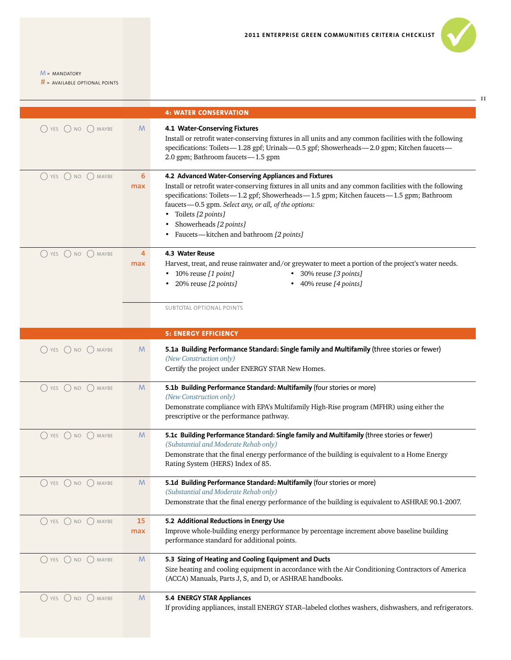

 $11$ 

 $M = MANDATORY$ 

|                                               |           | <b>4: WATER CONSERVATION</b>                                                                                                                                                                                                                                                                                                                                                                                     |
|-----------------------------------------------|-----------|------------------------------------------------------------------------------------------------------------------------------------------------------------------------------------------------------------------------------------------------------------------------------------------------------------------------------------------------------------------------------------------------------------------|
| $()$ YES $()$ NO $()$ MAYBE                   | M         | 4.1 Water-Conserving Fixtures<br>Install or retrofit water-conserving fixtures in all units and any common facilities with the following<br>specifications: Toilets-1.28 gpf; Urinals-0.5 gpf; Showerheads-2.0 gpm; Kitchen faucets-<br>2.0 gpm; Bathroom faucets-1.5 gpm                                                                                                                                        |
| $()$ YES<br>$\bigcap$ NO $\bigcap$ MAYBE      | 6<br>max  | 4.2 Advanced Water-Conserving Appliances and Fixtures<br>Install or retrofit water-conserving fixtures in all units and any common facilities with the following<br>specifications: Toilets-1.2 gpf; Showerheads-1.5 gpm; Kitchen faucets-1.5 gpm; Bathroom<br>faucets-0.5 gpm. Select any, or all, of the options:<br>• Toilets [2 points]<br>Showerheads [2 points]<br>Faucets-kitchen and bathroom [2 points] |
| $\bigcap$ YES $\bigcap$ NO $\bigcap$ MAYBE    | 4<br>max  | 4.3 Water Reuse<br>Harvest, treat, and reuse rainwater and/or greywater to meet a portion of the project's water needs.<br>• 10% reuse [1 point]<br>• 30% reuse [3 points]<br>20% reuse [2 points]<br>• 40% reuse [4 points]                                                                                                                                                                                     |
|                                               |           | SUBTOTAL OPTIONAL POINTS                                                                                                                                                                                                                                                                                                                                                                                         |
|                                               |           | <b>5: ENERGY EFFICIENCY</b>                                                                                                                                                                                                                                                                                                                                                                                      |
| O YES O NO O MAYBE                            | M         | 5.1a Building Performance Standard: Single family and Multifamily (three stories or fewer)<br>(New Construction only)<br>Certify the project under ENERGY STAR New Homes.                                                                                                                                                                                                                                        |
| $\bigcirc$ YES $\bigcirc$ NO $\bigcirc$ MAYBE | M         | 5.1b Building Performance Standard: Multifamily (four stories or more)<br>(New Construction only)<br>Demonstrate compliance with EPA's Multifamily High-Rise program (MFHR) using either the<br>prescriptive or the performance pathway.                                                                                                                                                                         |
| O YES O NO O MAYBE                            | M         | 5.1c Building Performance Standard: Single family and Multifamily (three stories or fewer)<br>(Substantial and Moderate Rehab only)<br>Demonstrate that the final energy performance of the building is equivalent to a Home Energy<br>Rating System (HERS) Index of 85.                                                                                                                                         |
| $\bigcirc$ yes $\bigcirc$ no $\bigcirc$ maybe | M         | 5.1d Building Performance Standard: Multifamily (four stories or more)<br>(Substantial and Moderate Rehab only)<br>Demonstrate that the final energy performance of the building is equivalent to ASHRAE 90.1-2007.                                                                                                                                                                                              |
| $\bigcap$ YES $\bigcap$ NO $\bigcap$ MAYBE    | 15<br>max | 5.2 Additional Reductions in Energy Use<br>Improve whole-building energy performance by percentage increment above baseline building<br>performance standard for additional points.                                                                                                                                                                                                                              |
| O YES O NO O MAYBE                            | M         | 5.3 Sizing of Heating and Cooling Equipment and Ducts<br>Size heating and cooling equipment in accordance with the Air Conditioning Contractors of America<br>(ACCA) Manuals, Parts J, S, and D, or ASHRAE handbooks.                                                                                                                                                                                            |
| $\bigcirc$ yes $\bigcirc$ no $\bigcirc$ maybe | M         | 5.4 ENERGY STAR Appliances<br>If providing appliances, install ENERGY STAR-labeled clothes washers, dishwashers, and refrigerators.                                                                                                                                                                                                                                                                              |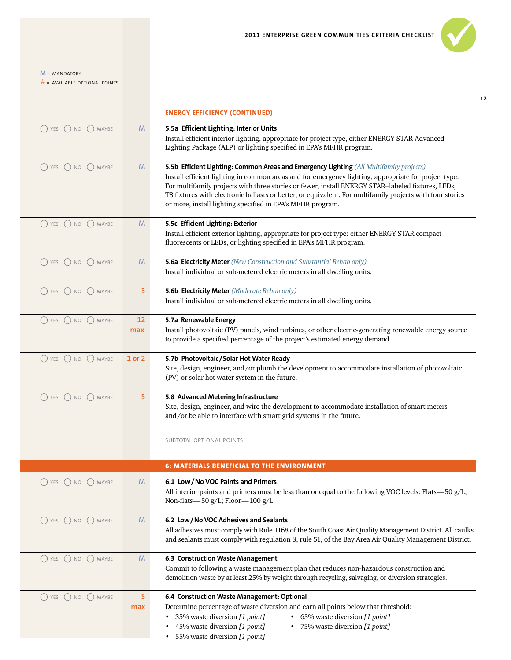# = AVAILABLE OPTIONAL POINTS

|                                               |           | <b>ENERGY EFFICIENCY (CONTINUED)</b>                                                                                                                                                                                                                                                                                                                                                                                                                                            |
|-----------------------------------------------|-----------|---------------------------------------------------------------------------------------------------------------------------------------------------------------------------------------------------------------------------------------------------------------------------------------------------------------------------------------------------------------------------------------------------------------------------------------------------------------------------------|
| $\bigcirc$ yes $\bigcirc$ no $\bigcirc$ maybe | M         | 5.5a Efficient Lighting: Interior Units<br>Install efficient interior lighting, appropriate for project type, either ENERGY STAR Advanced<br>Lighting Package (ALP) or lighting specified in EPA's MFHR program.                                                                                                                                                                                                                                                                |
| $\bigcap$ YES $\bigcap$ NO $\bigcap$ MAYBE    | M         | 5.5b Efficient Lighting: Common Areas and Emergency Lighting (All Multifamily projects)<br>Install efficient lighting in common areas and for emergency lighting, appropriate for project type.<br>For multifamily projects with three stories or fewer, install ENERGY STAR-labeled fixtures, LEDs,<br>T8 fixtures with electronic ballasts or better, or equivalent. For multifamily projects with four stories<br>or more, install lighting specified in EPA's MFHR program. |
| $O$ YES $O$ NO $O$ MAYBE                      | M         | 5.5c Efficient Lighting: Exterior<br>Install efficient exterior lighting, appropriate for project type: either ENERGY STAR compact<br>fluorescents or LEDs, or lighting specified in EPA's MFHR program.                                                                                                                                                                                                                                                                        |
| O YES O NO O MAYBE                            | M         | <b>5.6a Electricity Meter</b> (New Construction and Substantial Rehab only)<br>Install individual or sub-metered electric meters in all dwelling units.                                                                                                                                                                                                                                                                                                                         |
| $O$ YES $O$ NO $O$ MAYBE                      | 3         | <b>5.6b Electricity Meter</b> (Moderate Rehab only)<br>Install individual or sub-metered electric meters in all dwelling units.                                                                                                                                                                                                                                                                                                                                                 |
| O YES O NO O MAYBE                            | 12<br>max | 5.7a Renewable Energy<br>Install photovoltaic (PV) panels, wind turbines, or other electric-generating renewable energy source<br>to provide a specified percentage of the project's estimated energy demand.                                                                                                                                                                                                                                                                   |
| O YES O NO O MAYBE                            | 1 or 2    | 5.7b Photovoltaic/Solar Hot Water Ready<br>Site, design, engineer, and/or plumb the development to accommodate installation of photovoltaic<br>(PV) or solar hot water system in the future.                                                                                                                                                                                                                                                                                    |
| $\bigcap$ YES $\bigcap$ NO $\bigcap$ MAYBE    | 5         | 5.8 Advanced Metering Infrastructure<br>Site, design, engineer, and wire the development to accommodate installation of smart meters<br>and/or be able to interface with smart grid systems in the future.                                                                                                                                                                                                                                                                      |
|                                               |           | SUBTOTAL OPTIONAL POINTS                                                                                                                                                                                                                                                                                                                                                                                                                                                        |
|                                               |           | <b>6: MATERIALS BENEFICIAL TO THE ENVIRONMENT</b>                                                                                                                                                                                                                                                                                                                                                                                                                               |
| $\bigcirc$ YES $\bigcirc$ NO $\bigcirc$ MAYBE | M         | 6.1 Low/No VOC Paints and Primers<br>All interior paints and primers must be less than or equal to the following VOC levels: Flats—50 $g/L$ ;<br>Non-flats-50 g/L; Floor-100 g/L                                                                                                                                                                                                                                                                                                |
| O YES O NO O MAYBE                            | M         | 6.2 Low/No VOC Adhesives and Sealants<br>All adhesives must comply with Rule 1168 of the South Coast Air Quality Management District. All caulks<br>and sealants must comply with regulation 8, rule 51, of the Bay Area Air Quality Management District.                                                                                                                                                                                                                       |
| $\bigcirc$ YES $\bigcirc$ NO $\bigcirc$ MAYBE | M         | 6.3 Construction Waste Management<br>Commit to following a waste management plan that reduces non-hazardous construction and<br>demolition waste by at least 25% by weight through recycling, salvaging, or diversion strategies.                                                                                                                                                                                                                                               |
| $\bigcap$ NO $\bigcap$ MAYBE<br>YES           | 5<br>max  | 6.4 Construction Waste Management: Optional<br>Determine percentage of waste diversion and earn all points below that threshold:<br>35% waste diversion [1 point]<br>• 65% waste diversion [1 point]<br>75% waste diversion [1 point]<br>45% waste diversion [1 point]<br>55% waste diversion [1 point]<br>٠                                                                                                                                                                    |



 $-12$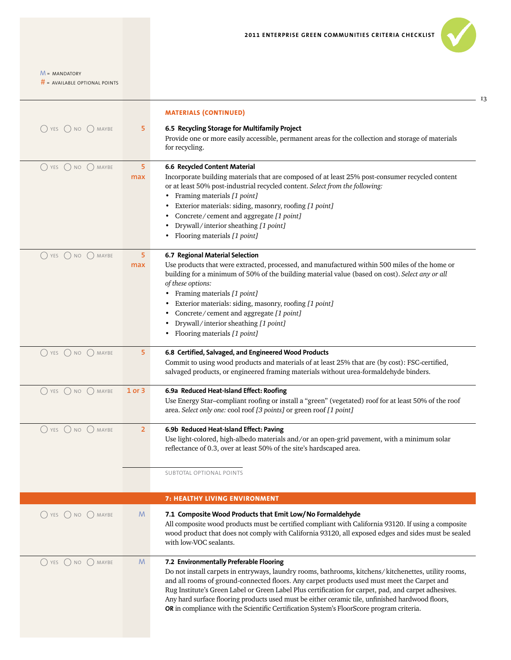$-13$ 

 $M = MANDATORY$ 

|                                               |                | <b>MATERIALS (CONTINUED)</b>                                                                                                                                                                                                                                                                                                                                                                                                                                                                                                                           |
|-----------------------------------------------|----------------|--------------------------------------------------------------------------------------------------------------------------------------------------------------------------------------------------------------------------------------------------------------------------------------------------------------------------------------------------------------------------------------------------------------------------------------------------------------------------------------------------------------------------------------------------------|
| $\bigcirc$ yes $\bigcirc$ no $\bigcirc$ maybe | 5              | 6.5 Recycling Storage for Multifamily Project<br>Provide one or more easily accessible, permanent areas for the collection and storage of materials<br>for recycling.                                                                                                                                                                                                                                                                                                                                                                                  |
| $\bigcirc$ YES $\bigcirc$ NO $\bigcirc$ MAYBE | 5<br>max       | 6.6 Recycled Content Material<br>Incorporate building materials that are composed of at least 25% post-consumer recycled content<br>or at least 50% post-industrial recycled content. Select from the following:<br>Framing materials [1 point]<br>Exterior materials: siding, masonry, roofing [1 point]<br>Concrete/cement and aggregate [1 point]<br>Drywall/interior sheathing [1 point]<br>Flooring materials [1 point]                                                                                                                           |
| $\bigcirc$ YES $\bigcirc$ NO $\bigcirc$ MAYBE | 5<br>max       | 6.7 Regional Material Selection<br>Use products that were extracted, processed, and manufactured within 500 miles of the home or<br>building for a minimum of 50% of the building material value (based on cost). Select any or all<br>of these options:<br>• Framing materials [1 point]<br>Exterior materials: siding, masonry, roofing [1 point]<br>Concrete/cement and aggregate [1 point]<br>Drywall/interior sheathing [1 point]<br>Flooring materials [1 point]                                                                                 |
| O YES O NO O MAYBE                            | 5              | 6.8 Certified, Salvaged, and Engineered Wood Products<br>Commit to using wood products and materials of at least 25% that are (by cost): FSC-certified,<br>salvaged products, or engineered framing materials without urea-formaldehyde binders.                                                                                                                                                                                                                                                                                                       |
| O YES O NO O MAYBE                            | 1 or 3         | 6.9a Reduced Heat-Island Effect: Roofing<br>Use Energy Star-compliant roofing or install a "green" (vegetated) roof for at least 50% of the roof<br>area. Select only one: cool roof [3 points] or green roof [1 point]                                                                                                                                                                                                                                                                                                                                |
| O YES O NO O MAYBE                            | $\overline{2}$ | 6.9b Reduced Heat-Island Effect: Paving<br>Use light-colored, high-albedo materials and/or an open-grid pavement, with a minimum solar<br>reflectance of 0.3, over at least 50% of the site's hardscaped area.<br><b>SUBTOTAL OPTIONAL POINTS</b>                                                                                                                                                                                                                                                                                                      |
|                                               |                | <b>7: HEALTHY LIVING ENVIRONMENT</b>                                                                                                                                                                                                                                                                                                                                                                                                                                                                                                                   |
| $\bigcirc$ YES $\bigcirc$ NO $\bigcirc$ MAYBE | M              | 7.1 Composite Wood Products that Emit Low/No Formaldehyde<br>All composite wood products must be certified compliant with California 93120. If using a composite<br>wood product that does not comply with California 93120, all exposed edges and sides must be sealed<br>with low-VOC sealants.                                                                                                                                                                                                                                                      |
| $\bigcap$ YES $\bigcap$ NO $\bigcap$ MAYBE    | M              | 7.2 Environmentally Preferable Flooring<br>Do not install carpets in entryways, laundry rooms, bathrooms, kitchens/kitchenettes, utility rooms,<br>and all rooms of ground-connected floors. Any carpet products used must meet the Carpet and<br>Rug Institute's Green Label or Green Label Plus certification for carpet, pad, and carpet adhesives.<br>Any hard surface flooring products used must be either ceramic tile, unfinished hardwood floors,<br>OR in compliance with the Scientific Certification System's FloorScore program criteria. |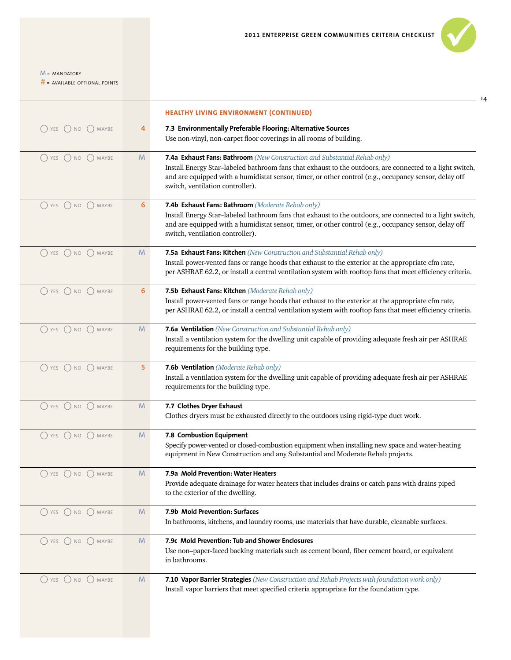|                                               |    | <b>HEALTHY LIVING ENVIRONMENT (CONTINUED)</b>                                                                                                                                                                                                         |
|-----------------------------------------------|----|-------------------------------------------------------------------------------------------------------------------------------------------------------------------------------------------------------------------------------------------------------|
| $\bigcirc$ yes $\bigcirc$ no $\bigcirc$ maybe | 4  | 7.3 Environmentally Preferable Flooring: Alternative Sources                                                                                                                                                                                          |
|                                               |    | Use non-vinyl, non-carpet floor coverings in all rooms of building.                                                                                                                                                                                   |
| $\bigcap$ YES $\bigcap$ NO $\bigcap$ MAYBE    | M  | 7.4a Exhaust Fans: Bathroom (New Construction and Substantial Rehab only)                                                                                                                                                                             |
|                                               |    | Install Energy Star-labeled bathroom fans that exhaust to the outdoors, are connected to a light switch,<br>and are equipped with a humidistat sensor, timer, or other control (e.g., occupancy sensor, delay off<br>switch, ventilation controller). |
| $\bigcirc$ YES $\bigcirc$ NO $\bigcirc$ MAYBE | 6  | 7.4b Exhaust Fans: Bathroom (Moderate Rehab only)                                                                                                                                                                                                     |
|                                               |    | Install Energy Star-labeled bathroom fans that exhaust to the outdoors, are connected to a light switch,<br>and are equipped with a humidistat sensor, timer, or other control (e.g., occupancy sensor, delay off<br>switch, ventilation controller). |
| $O$ YES $O$ NO $O$ MAYBE                      | M  | 7.5a Exhaust Fans: Kitchen (New Construction and Substantial Rehab only)                                                                                                                                                                              |
|                                               |    | Install power-vented fans or range hoods that exhaust to the exterior at the appropriate cfm rate,<br>per ASHRAE 62.2, or install a central ventilation system with rooftop fans that meet efficiency criteria.                                       |
| $O$ YES $O$ NO $O$ MAYBE                      | 6  | 7.5b Exhaust Fans: Kitchen (Moderate Rehab only)                                                                                                                                                                                                      |
|                                               |    | Install power-vented fans or range hoods that exhaust to the exterior at the appropriate cfm rate,<br>per ASHRAE 62.2, or install a central ventilation system with rooftop fans that meet efficiency criteria.                                       |
| $\bigcap$ YES $\bigcap$ NO $\bigcap$ MAYBE    | M  | 7.6a Ventilation (New Construction and Substantial Rehab only)                                                                                                                                                                                        |
|                                               |    | Install a ventilation system for the dwelling unit capable of providing adequate fresh air per ASHRAE<br>requirements for the building type.                                                                                                          |
| O YES O NO O MAYBE                            | 5  | 7.6b Ventilation (Moderate Rehab only)                                                                                                                                                                                                                |
|                                               |    | Install a ventilation system for the dwelling unit capable of providing adequate fresh air per ASHRAE<br>requirements for the building type.                                                                                                          |
| $\bigcirc$ YES $\bigcirc$ NO $\bigcirc$ MAYBE | M  | 7.7 Clothes Dryer Exhaust                                                                                                                                                                                                                             |
|                                               |    | Clothes dryers must be exhausted directly to the outdoors using rigid-type duct work.                                                                                                                                                                 |
| O YES O NO O MAYBE                            | M  | 7.8 Combustion Equipment                                                                                                                                                                                                                              |
|                                               |    | Specify power-vented or closed-combustion equipment when installing new space and water-heating<br>equipment in New Construction and any Substantial and Moderate Rehab projects.                                                                     |
| $\bigcirc$ yes $\bigcirc$ no $\bigcirc$ maybe | M. | 7.9a Mold Prevention: Water Heaters                                                                                                                                                                                                                   |
|                                               |    | Provide adequate drainage for water heaters that includes drains or catch pans with drains piped<br>to the exterior of the dwelling.                                                                                                                  |
| $( )$ YES $( )$ NO $( )$ MAYBE                | M  | 7.9b Mold Prevention: Surfaces                                                                                                                                                                                                                        |
|                                               |    | In bathrooms, kitchens, and laundry rooms, use materials that have durable, cleanable surfaces.                                                                                                                                                       |
| $\bigcirc$ YES $\bigcirc$ NO $\bigcirc$ MAYBE | M  | 7.9c Mold Prevention: Tub and Shower Enclosures                                                                                                                                                                                                       |
|                                               |    | Use non-paper-faced backing materials such as cement board, fiber cement board, or equivalent<br>in bathrooms.                                                                                                                                        |
| $\bigcap$ YES $\bigcap$ NO $\bigcap$ MAYBE    | M  | 7.10 Vapor Barrier Strategies (New Construction and Rehab Projects with foundation work only)                                                                                                                                                         |
|                                               |    | Install vapor barriers that meet specified criteria appropriate for the foundation type.                                                                                                                                                              |